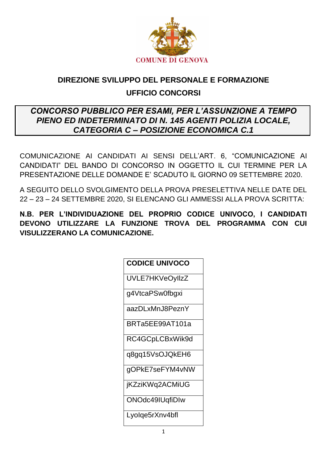

## DIREZIONE SVILUPPO DEL PERSONALE E FORMAZIONE **UFFICIO CONCORSI**

## **CONCORSO PUBBLICO PER ESAMI. PER L'ASSUNZIONE A TEMPO** PIENO ED INDETERMINATO DI N. 145 AGENTI POLIZIA LOCALE, **CATEGORIA C - POSIZIONE ECONOMICA C.1**

COMUNICAZIONE AI CANDIDATI AI SENSI DELL'ART. 6, "COMUNICAZIONE AI CANDIDATI" DEL BANDO DI CONCORSO IN OGGETTO IL CUI TERMINE PER LA PRESENTAZIONE DELLE DOMANDE E' SCADUTO IL GIORNO 09 SETTEMBRE 2020.

A SEGUITO DELLO SVOLGIMENTO DELLA PROVA PRESELETTIVA NELLE DATE DEL 22 - 23 - 24 SETTEMBRE 2020, SI ELENCANO GLI AMMESSI ALLA PROVA SCRITTA:

N.B. PER L'INDIVIDUAZIONE DEL PROPRIO CODICE UNIVOCO. I CANDIDATI DEVONO UTILIZZARE LA FUNZIONE TROVA DEL PROGRAMMA CON CUI VISULIZZERANO LA COMUNICAZIONE.

| <b>CODICE UNIVOCO</b> |
|-----------------------|
| UVLE7HKVeOyllzZ       |
| g4VtcaPSw0fbgxi       |
| aazDLxMnJ8PeznY       |
| BRTa5EE99AT101a       |
| RC4GCpLCBxWik9d       |
| q8gq15VsOJQkEH6       |
| qOPkE7seFYM4vNW       |
| jKZziKWq2ACMiUG       |
| ONOdc49IUqfiDIw       |
| Lyolqe5rXnv4bfl       |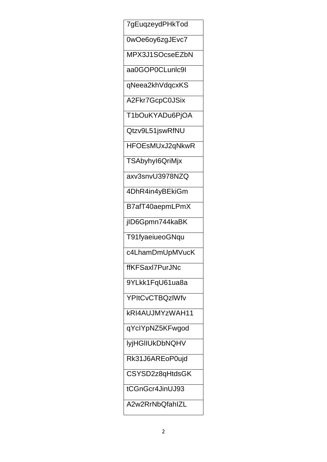7gEuqzeydPHkTod

0wOe6oy6zgJEvc7

MPX3J1SOcseEZbN

aa0GOP0CLunlc9l

qNeea2khVdqcxKS

A2Fkr7GcpC0JSix

T1bOuKYADu6PjOA

Qtzv9L51jswRfNU

HFOEsMUxJ2qNkwR

TSAbyhyl6QriMjx

axv3snvU3978NZQ

4DhR4in4yBEkiGm

B7afT40aepmLPmX

jID6Gpmn744kaBK

T91fyaeiueoGNqu

c4LhamDmUpMVucK

ffKFSaxl7PurJNc

9YLkk1FqU61ua8a

**YPItCvCTBQzIWfv** 

kRI4AUJMYzWAH11

qYclYpNZ5KFwgod

**IyjHGIIUkDbNQHV** 

Rk31J6AREoP0ujd

CSYSD2z8qHtdsGK

tCGnGcr4JinUJ93

A2w2RrNbQfahlZL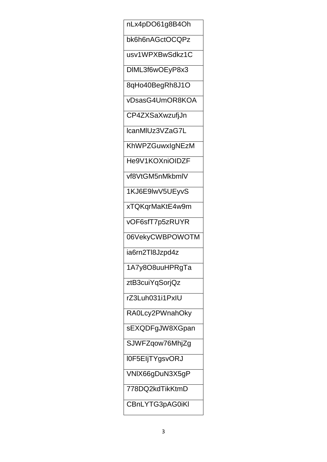nLx4pDO61g8B4Oh bk6h6nAGctOCQPz usv1WPXBwSdkz1C DIML3f6wOEyP8x3 8qHo40BegRh8J1O vDsasG4UmOR8KOA CP4ZXSaXwzufjJn IcanMIUz3VZaG7L KhWPZGuwxIgNEzM He9V1KOXniOIDZF vf8VtGM5nMkbmlV 1KJ6E9lwV5UEyvS xTQKqrMaKtE4w9m vOF6sfT7p5zRUYR 06VekyCWBPOWOTM ia6rn2Tl8Jzpd4z 1A7y8O8uuHPRgTa ztB3cuiYqSorjQz rZ3Luh031i1PxIU RA0Lcy2PWnahOky sEXQDFgJW8XGpan SJWFZqow76MhjZg I0F5EIjTYgsvORJ VNIX66gDuN3X5gP 778DQ2kdTikKtmD CBnLYTG3pAG0iKI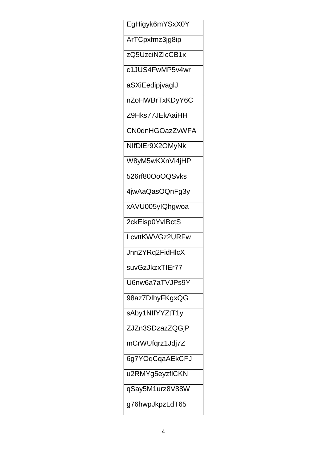EgHigyk6mYSxX0Y ArTCpxfmz3jg8ip zQ5UzciNZIcCB1x c1JUS4FwMP5v4wr aSXiEedipjvaglJ nZoHWBrTxKDyY6C Z9Hks77JEkAaiHH **CN0dnHGOazZvWFA** NIfDIEr9X2OMyNk W8yM5wKXnVi4jHP 526rf80OoOQSvks 4jwAaQasOQnFg3y xAVU005ylQhqwoa 2ckEisp0YvlBctS LcvttKWVGz2URFw Jnn2YRq2FidHlcX suvGzJkzxTIEr77 U6nw6a7aTVJPs9Y 98az7DlhyFKgxQG sAby1NIfYYZtT1y ZJZn3SDzazZQGjP mCrWUfqrz1Jdj7Z 6g7YOqCqaAEkCFJ u2RMYg5eyzflCKN qSay5M1urz8V88W g76hwpJkpzLdT65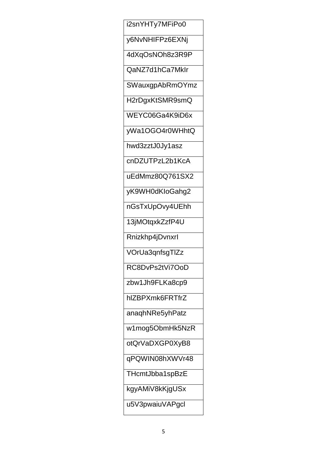i2snYHTy7MFiPo0 y6NvNHIFPz6EXNj 4dXqOsNOh8z3R9P QaNZ7d1hCa7Mklr SWauxgpAbRmOYmz H2rDgxKtSMR9smQ WEYC06Ga4K9iD6x yWa1OGO4r0WHhtQ hwd3zztJ0Jy1asz cnDZUTPzL2b1KcA uEdMmz80Q761SX2 yK9WH0dKloGahg2 nGsTxUpOvy4UEhh 13jMOtqxkZzfP4U Rnizkhp4jDvnxrl VOrUa3qnfsgTlZz RC8DvPs2tVi7OoD zbw1Jh9FLKa8cp9 hlZBPXmk6FRTfrZ anaqhNRe5yhPatz w1mog5ObmHk5NzR otQrVaDXGP0XyB8 qPQWIN08hXWVr48 THcmtJbba1spBzE kgyAMiV8kKjgUSx u5V3pwaiuVAPgcl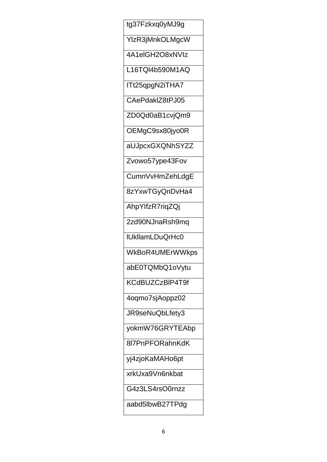tg37Fzkxq0yMJ9g YlzR3jMnkOLMgcW 4A1elGH2O8xNVIz L16TQI4b590M1AQ ITt25qpgN2iTHA7 CAePdaklZ8tPJ05 ZD0Qd0aB1cvjQm9 OEMgC9sx80jyo0R aUJpcxGXQNhSYZZ Zvowo57ype43Fov CumnVvHmZehLdgE 8zYxwTGyQnDvHa4 AhpYlfzR7rigZQj 2zd90NJnaRsh9mq IUkllamLDuQrHc0 WkBoR4UMErWWkps abE0TQMbQ1oVytu KCdBUZCzBIP4T9f 4oqmo7sjAoppz02 JR9seNuQbLfety3 yokmW76GRYTEAbp 8l7PnPFORahnKdK yj4zjoKaMAHo6pt xrkUxa9Vn6nkbat G4z3LS4rsO0rnzz aabd5lbwB27TPdg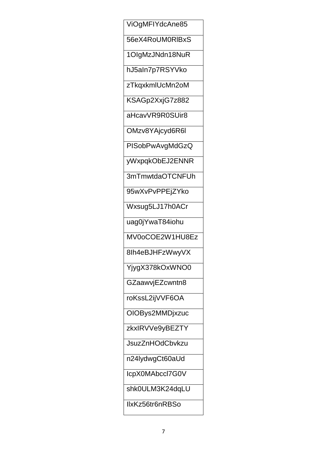ViOgMFIYdcAne85 56eX4RoUM0RIBxS 1OlgMzJNdn18NuR hJ5aln7p7RSYVko zTkqxkmlUcMn2oM KSAGp2XxjG7z882 aHcavVR9R0SUir8 OMzv8YAjcyd6R6I **PISobPwAvgMdGzQ** yWxpqkObEJ2ENNR 3mTmwtdaOTCNFUh 95wXvPvPPEjZYko Wxsug5LJ17h0ACr uag0jYwaT84iohu MV0oCOE2W1HU8Ez 8lh4eBJHFzWwyVX YjygX378kOxWNO0 GZaawvjEZcwntn8 roKssL2ijVVF6OA OIOBys2MMDjxzuc zkxlRVVe9yBEZTY **JsuzZnHOdCbvkzu** n24lydwgCt60aUd IcpX0MAbccl7G0V shk0ULM3K24dqLU IlxKz56tr6nRBSo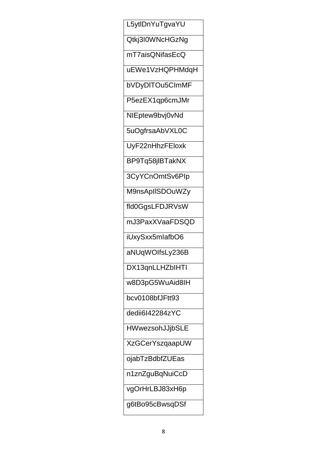L5ytlDnYuTgvaYU Qtkj3I0WNcHGzNg mT7aisQNifasEcQ uEWe1VzHQPHMdqH bVDyDITOu5CImMF P5ezEX1qp6cmJMr NIEptew9bvj0vNd 5uOgfrsaAbVXL0C UyF22nHhzFEloxk BP9Tq58jlBTakNX 3CyYCnOmtSv6Plp M9nsAplISDOuWZy fld0GqsLFDJRVsW mJ3PaxXVaaFDSQD iUxySxx5mlafbO6 aNUqWOIfsLy236B DX13qnLLHZbIHTI w8D3pG5WuAid8lH bcv0108bfJFtt93 dedii6l42284zYC HWwezsohJJjbSLE **XzGCerYszqaapUW** ojabTzBdbfZUEas n1znZguBqNuiCcD vgOrHrLBJ83xH6p g6tBo95cBwsqDSf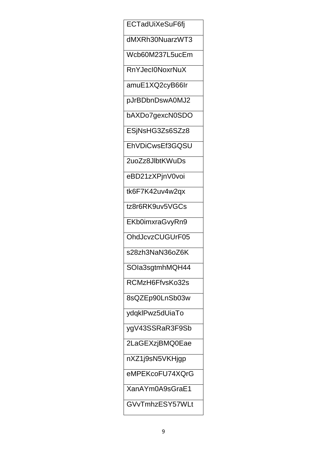ECTadUiXeSuF6fj dMXRh30NuarzWT3 Wcb60M237L5ucEm RnYJecl0NoxrNuX amuE1XQ2cyB66Ir pJrBDbnDswA0MJ2 bAXDo7gexcN0SDO ESjNsHG3Zs6SZz8 EhVDiCwsEf3GQSU 2uoZz8JlbtKWuDs eBD21zXPjnV0voi tk6F7K42uv4w2qx tz8r6RK9uv5VGCs EKb0imxraGvyRn9 OhdJcvzCUGUrF05 s28zh3NaN36oZ6K SOIa3sgtmhMQH44 RCMzH6FfvsKo32s 8sQZEp90LnSb03w ydqklPwz5dUiaTo ygV43SSRaR3F9Sb 2LaGEXzjBMQ0Eae nXZ1j9sN5VKHjgp eMPEKcoFU74XQrG XanAYm0A9sGraE1 GVvTmhzESY57WLt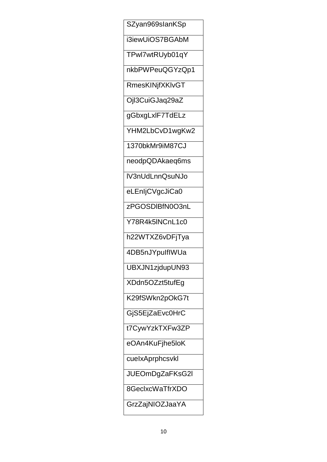SZyan969slanKSp i3iewUiOS7BGAbM TPwl7wtRUyb01qY nkbPWPeuQGYzQp1 RmesKINjfXKIvGT Ojl3CuiGJaq29aZ gGbxgLxIF7TdELz YHM2LbCvD1wgKw2 1370bkMr9iM87CJ neodpQDAkaeq6ms IV3nUdLnnQsuNJo eLEnIjCVgcJiCa0 zPGOSDIBfN0O3nL Y78R4k5INCnL1c0 h22WTXZ6vDFjTya 4DB5nJYpulflWUa UBXJN1zjdupUN93 XDdn5OZzt5tufEg K29fSWkn2pOkG7t GjS5EjZaEvc0HrC t7CywYzkTXFw3ZP eOAn4KuFjhe5loK cuelxAprphcsvkl JUEOmDgZaFKsG2I 8GeclxcWaTfrXDO GrzZajNIOZJaaYA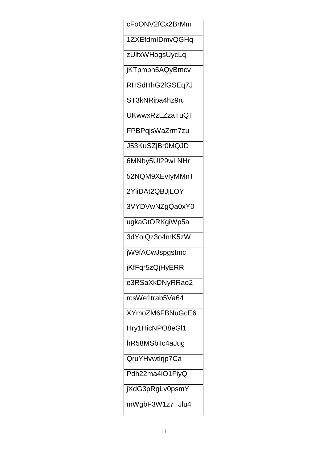cFoONV2fCx2BrMm 1ZXEfdmIDmvQGHq zUlfxWHogsUycLq jKTpmph5AQyBmcv RHSdHhG2fGSEq7J ST3kNRipa4hz9ru UKwwxRzLZzaTuQT FPBPqjsWaZrm7zu J53KuSZjBr0MQJD 6MNby5UI29wLNHr 52NQM9XEvlyMMnT 2YliDAt2QBJjLOY 3VYDVwNZqQa0xY0 ugkaGtORKgiWp5a 3dYolQz3o4mK5zW jW9fACwJspgstmc jKfFqr5zQjHyERR e3RSaXkDNyRRao2 rcsWe1trab5Va64 XYmoZM6FBNuGcE6 Hry1HicNPO8eGI1 hR58MSbllc4aJug QruYHvwtlrjp7Ca Pdh22ma4iO1FiyQ jXdG3pRgLv0psmY mWgbF3W1z7TJlu4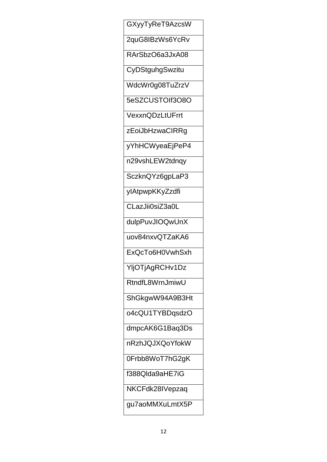GXyyTyReT9AzcsW 2quG8IBzWs6YcRv RArSbzO6a3JxA08 CyDStguhgSwzitu WdcWr0g08TuZrzV 5eSZCUSTOIf3O8O VexxnQDzLtUFrrt zEoiJbHzwaCIRRg yYhHCWyeaEjPeP4 n29vshLEW2tdnqy SczknQYz6gpLaP3 ylAtpwpKKyZzdfi CLazJii0siZ3a0L dulpPuvJIOQwUnX uov84nxvQTZaKA6 ExQcTo6H0VwhSxh YljOTjAgRCHv1Dz RtndfL8WrnJmiwU ShGkgwW94A9B3Ht o4cQU1TYBDqsdzO dmpcAK6G1Baq3Ds nRzhJQJXQoYfokW 0Frbb8WoT7hG2gK f388Qlda9aHE7iG NKCFdk28IVepzaq gu7aoMMXuLmtX5P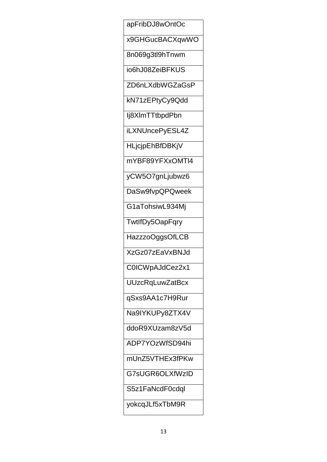apFribDJ8wOntOc x9GHGucBACXqwWO 8n069g3tl9hTnwm io6hJ08ZeiBFKUS ZD6nLXdbWGZaGsP kN71zEPtyCy9Qdd lj8XlmTTtbpdPbn iLXNUncePyESL4Z **HLjcjpEhBfDBKjV** mYBF89YFXxOMTI4 yCW5O7gnLjubwz6 DaSw9fvpQPQweek G1aTohsiwL934Mj TwtlfDy5OapFqry HazzzoOggsOfLCB XzGz07zEaVxBNJd COICWpAJdCez2x1 **UUzcRqLuwZatBcx** qSxs9AA1c7H9Rur Na9IYKUPy8ZTX4V ddoR9XUzam8zV5d ADP7YOzWfSD94hi mUnZ5VTHEx3fPKw G7sUGR6OLXfWzID S5z1FaNcdF0cdql yokcqJLf5xTbM9R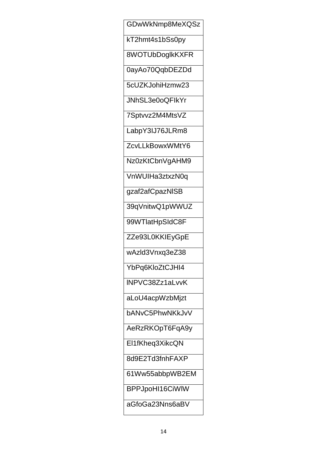GDwWkNmp8MeXQSz kT2hmt4s1bSs0py 8WOTUbDoglkKXFR 0ayAo70QqbDEZDd 5cUZKJohiHzmw23 JNhSL3e0oQFlkYr 7Sptvvz2M4MtsVZ LabpY3IJ76JLRm8 ZcvLLkBowxWMtY6 Nz0zKtCbnVgAHM9 VnWUIHa3ztxzN0q gzaf2afCpazNISB 39qVnitwQ1pWWUZ 99WTlatHpSIdC8F ZZe93L0KKIEyGpE wAzld3Vnxq3eZ38 YbPq6KloZtCJHI4 INPVC38Zz1aLvvK aLoU4acpWzbMjzt bANvC5PhwNKkJvV AeRzRKOpT6FqA9y El1fKheq3XikcQN 8d9E2Td3fnhFAXP 61Ww55abbpWB2EM BPPJpoHI16CiWIW aGfoGa23Nns6aBV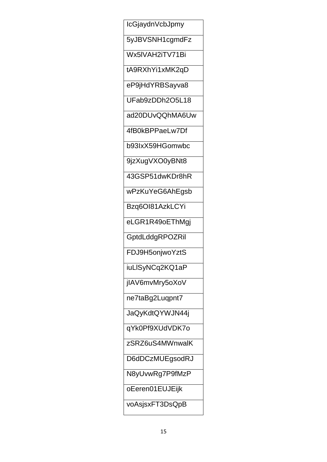IcGjaydnVcbJpmy 5yJBVSNH1cgmdFz Wx5IVAH2iTV71Bi tA9RXhYi1xMK2qD eP9jHdYRBSayva8 UFab9zDDh2O5L18 ad20DUvQQhMA6Uw 4fB0kBPPaeLw7Df b93lxX59HGomwbc 9jzXugVXO0yBNt8 43GSP51dwKDr8hR wPzKuYeG6AhEgsb Bzg6Ol81AzkLCYi eLGR1R49oEThMgj GptdLddgRPOZRil FDJ9H5onjwoYztS iuLISyNCq2KQ1aP jlAV6mvMry5oXoV ne7taBg2Luqpnt7 JaQyKdtQYWJN44j qYk0Pf9XUdVDK7o zSRZ6uS4MWnwalK D6dDCzMUEgsodRJ N8yUvwRg7P9fMzP oEeren01EUJEijk voAsjsxFT3DsQpB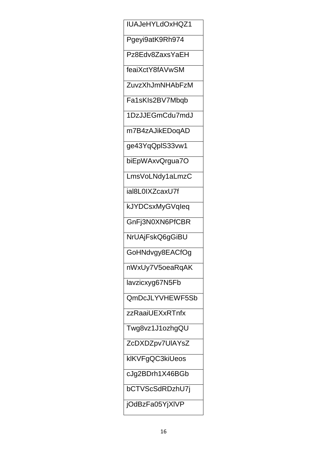IUAJeHYLdOxHQZ1 Pgeyi9atK9Rh974 Pz8Edv8ZaxsYaEH feaiXctY8fAVwSM ZuvzXhJmNHAbFzM Fa1sKIs2BV7Mbqb 1DzJJEGmCdu7mdJ m7B4zAJikEDoqAD ge43YqQplS33vw1 biEpWAxvQrgua7O LmsVoLNdy1aLmzC ial8L0IXZcaxU7f kJYDCsxMyGVqleq GnFj3N0XN6PfCBR NrUAjFskQ6gGiBU GoHNdvgy8EACfOg nWxUy7V5oeaRqAK lavzicxyg67N5Fb QmDcJLYVHEWF5Sb zzRaaiUEXxRTnfx Twg8vz1J1ozhgQU ZcDXDZpv7UIAYsZ klKVFgQC3kiUeos cJg2BDrh1X46BGb bCTVScSdRDzhU7j jOdBzFa05YjXIVP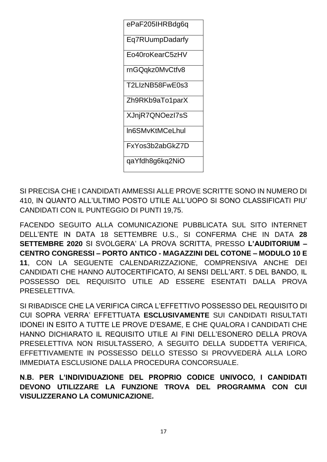

SI PRECISA CHE I CANDIDATI AMMESSI ALLE PROVE SCRITTE SONO IN NUMERO DI 410, IN QUANTO ALL'ULTIMO POSTO UTILE ALL'UOPO SI SONO CLASSIFICATI PIU' CANDIDATI CON IL PUNTEGGIO DI PUNTI 19,75.

FACENDO SEGUITO ALLA COMUNICAZIONE PUBBLICATA SUL SITO INTERNET DELL'ENTE IN DATA 18 SETTEMBRE U.S., SI CONFERMA CHE IN DATA 28 SETTEMBRE 2020 SI SVOLGERA' LA PROVA SCRITTA, PRESSO L'AUDITORIUM -CENTRO CONGRESSI - PORTO ANTICO - MAGAZZINI DEL COTONE - MODULO 10 E 11. CON LA SEGUENTE CALENDARIZZAZIONE, COMPRENSIVA ANCHE DEI CANDIDATI CHE HANNO AUTOCERTIFICATO, AI SENSI DELL'ART. 5 DEL BANDO, IL POSSESSO DEL REQUISITO UTILE AD ESSERE ESENTATI DALLA PROVA PRESELETTIVA.

SI RIBADISCE CHE LA VERIFICA CIRCA L'EFFETTIVO POSSESSO DEL REQUISITO DI CUI SOPRA VERRA' EFFETTUATA ESCLUSIVAMENTE SUI CANDIDATI RISULTATI **IDONEI IN ESITO A TUTTE LE PROVE D'ESAME. E CHE QUALORA I CANDIDATI CHE** HANNO DICHIARATO IL REQUISITO UTILE AI FINI DELL'ESONERO DELLA PROVA PRESELETTIVA NON RISULTASSERO. A SEGUITO DELLA SUDDETTA VERIFICA. EFFETTIVAMENTE IN POSSESSO DELLO STESSO SI PROVVEDERÀ ALLA LORO IMMEDIATA ESCLUSIONE DALLA PROCEDURA CONCORSUALE.

N.B. PER L'INDIVIDUAZIONE DEL PROPRIO CODICE UNIVOCO, I CANDIDATI DEVONO UTILIZZARE LA FUNZIONE TROVA DEL PROGRAMMA CON CUI **VISULIZZERANO LA COMUNICAZIONE.**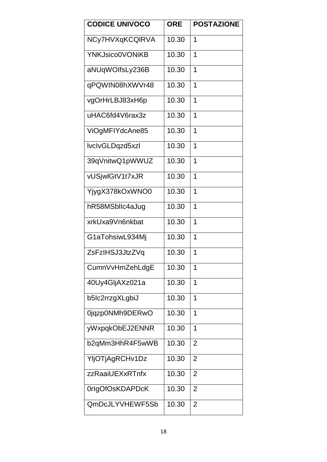| <b>CODICE UNIVOCO</b>  | <b>ORE</b> | <b>POSTAZIONE</b> |
|------------------------|------------|-------------------|
| NCy7HVXqKCQIRVA        | 10.30      | 1                 |
| <b>YNKJsico0VONiKB</b> | 10.30      | 1                 |
| aNUqWOIfsLy236B        | 10.30      | 1                 |
| qPQWIN08hXWVr48        | 10.30      | 1                 |
| vgOrHrLBJ83xH6p        | 10.30      | $\overline{1}$    |
| uHAC6fd4V6rax3z        | 10.30      | 1                 |
| ViOgMFIYdcAne85        | 10.30      | 1                 |
| lvclvGLDqzd5xzl        | 10.30      | 1                 |
| 39qVnitwQ1pWWUZ        | 10.30      | 1                 |
| vUSjwlGtV1t7xJR        | 10.30      | 1                 |
| YjygX378kOxWNO0        | 10.30      | 1                 |
| hR58MSbllc4aJug        | 10.30      | 1                 |
| xrkUxa9Vn6nkbat        | 10.30      | 1                 |
| G1aTohsiwL934Mj        | 10.30      | 1                 |
| ZsFzIHSJ3JtzZVq        | 10.30      | 1                 |
| CumnVvHmZehLdgE        | 10.30      | 1                 |
| 40Uy4GljAXz021a        | 10.30      | 1                 |
| b5lc2rrzgXLgbiJ        | 10.30      | 1                 |
| 0jqzp0NMh9DERwO        | 10.30      | 1                 |
| yWxpqkObEJ2ENNR        | 10.30      | 1                 |
| b2qMm3HhR4F5wWB        | 10.30      | $\overline{2}$    |
| YljOTjAgRCHv1Dz        | 10.30      | $\overline{2}$    |
| zzRaaiUEXxRTnfx        | 10.30      | $\overline{2}$    |
| 0rlgOfOsKDAPDcK        | 10.30      | $\overline{2}$    |
| QmDcJLYVHEWF5Sb        | 10.30      | $\overline{2}$    |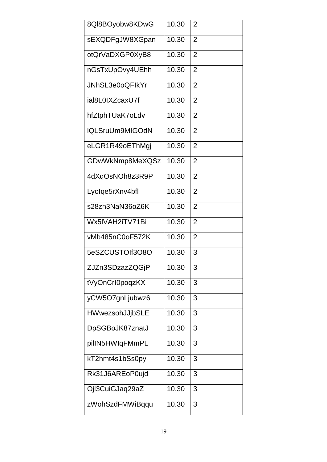| 8QI8BOyobw8KDwG | 10.30 | $\overline{2}$ |
|-----------------|-------|----------------|
| sEXQDFgJW8XGpan | 10.30 | 2              |
| otQrVaDXGP0XyB8 | 10.30 | $\overline{2}$ |
| nGsTxUpOvy4UEhh | 10.30 | $\overline{2}$ |
| JNhSL3e0oQFlkYr | 10.30 | $\overline{2}$ |
| ial8L0IXZcaxU7f | 10.30 | $\overline{2}$ |
| hfZtphTUaK7oLdv | 10.30 | $\overline{2}$ |
| IQLSruUm9MIGOdN | 10.30 | $\overline{2}$ |
| eLGR1R49oEThMgj | 10.30 | $\overline{2}$ |
| GDwWkNmp8MeXQSz | 10.30 | 2              |
| 4dXqOsNOh8z3R9P | 10.30 | $\overline{2}$ |
| Lyolqe5rXnv4bfl | 10.30 | $\overline{2}$ |
| s28zh3NaN36oZ6K | 10.30 | $\overline{2}$ |
| Wx5IVAH2iTV71Bi | 10.30 | $\overline{2}$ |
| vMb485nC0oF572K | 10.30 | $\overline{2}$ |
| 5eSZCUSTOIf3O8O | 10.30 | 3              |
| ZJZn3SDzazZQGjP | 10.30 | 3              |
| tVyOnCrI0poqzKX | 10.30 | 3              |
| yCW5O7gnLjubwz6 | 10.30 | 3              |
| HWwezsohJJjbSLE | 10.30 | 3              |
| DpSGBoJK87znatJ | 10.30 | 3              |
| pillN5HWIqFMmPL | 10.30 | 3              |
| kT2hmt4s1bSs0py | 10.30 | 3              |
| Rk31J6AREoP0ujd | 10.30 | 3              |
| Ojl3CuiGJaq29aZ | 10.30 | 3              |
| zWohSzdFMWiBqqu | 10.30 | 3              |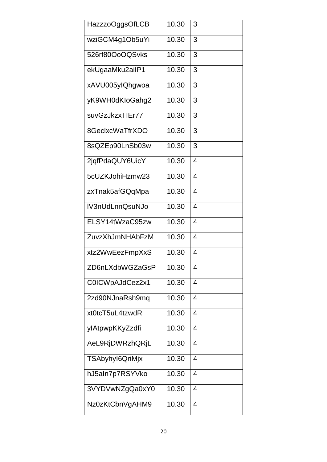| HazzzoOggsOfLCB | 10.30 | 3              |
|-----------------|-------|----------------|
| wziGCM4g1Ob5uYi | 10.30 | 3              |
| 526rf80OoOQSvks | 10.30 | 3              |
| ekUgaaMku2ailP1 | 10.30 | 3              |
| xAVU005ylQhgwoa | 10.30 | 3              |
| yK9WH0dKloGahg2 | 10.30 | 3              |
| suvGzJkzxTIEr77 | 10.30 | 3              |
| 8GeclxcWaTfrXDO | 10.30 | 3              |
| 8sQZEp90LnSb03w | 10.30 | 3              |
| 2jqfPdaQUY6UicY | 10.30 | 4              |
| 5cUZKJohiHzmw23 | 10.30 | 4              |
| zxTnak5afGQqMpa | 10.30 | 4              |
| IV3nUdLnnQsuNJo | 10.30 | 4              |
| ELSY14tWzaC95zw | 10.30 | 4              |
| ZuvzXhJmNHAbFzM | 10.30 | 4              |
| xtz2WwEezFmpXxS | 10.30 | 4              |
| ZD6nLXdbWGZaGsP | 10.30 | 4              |
| C0ICWpAJdCez2x1 | 10.30 | $\overline{4}$ |
| 2zd90NJnaRsh9mq | 10.30 | 4              |
| xt0tcT5uL4tzwdR | 10.30 | 4              |
| ylAtpwpKKyZzdfi | 10.30 | 4              |
| AeL9RjDWRzhQRjL | 10.30 | 4              |
| TSAbyhyl6QriMjx | 10.30 | 4              |
| hJ5aln7p7RSYVko | 10.30 | 4              |
| 3VYDVwNZgQa0xY0 | 10.30 | 4              |
| Nz0zKtCbnVgAHM9 | 10.30 | 4              |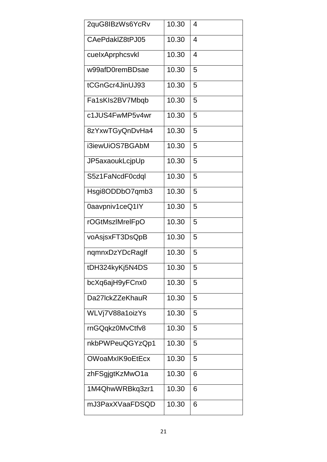| 2quG8IBzWs6YcRv | 10.30 | 4 |
|-----------------|-------|---|
| CAePdakIZ8tPJ05 | 10.30 | 4 |
| cuelxAprphcsvkl | 10.30 | 4 |
| w99afD0remBDsae | 10.30 | 5 |
| tCGnGcr4JinUJ93 | 10.30 | 5 |
| Fa1sKIs2BV7Mbqb | 10.30 | 5 |
| c1JUS4FwMP5v4wr | 10.30 | 5 |
| 8zYxwTGyQnDvHa4 | 10.30 | 5 |
| i3iewUiOS7BGAbM | 10.30 | 5 |
| JP5axaoukLcjpUp | 10.30 | 5 |
| S5z1FaNcdF0cdql | 10.30 | 5 |
| Hsgi8ODDbO7qmb3 | 10.30 | 5 |
| 0aavpniv1ceQ1IY | 10.30 | 5 |
| rOGtMszlMrelFpO | 10.30 | 5 |
| voAsjsxFT3DsQpB | 10.30 | 5 |
| nqmnxDzYDcRaglf | 10.30 | 5 |
| tDH324kyKj5N4DS | 10.30 | 5 |
| bcXq6ajH9yFCnx0 | 10.30 | 5 |
| Da27lckZZeKhauR | 10.30 | 5 |
| WLVj7V88a1oizYs | 10.30 | 5 |
| rnGQqkz0MvCtfv8 | 10.30 | 5 |
| nkbPWPeuQGYzQp1 | 10.30 | 5 |
| OWoaMxIK9oEtEcx | 10.30 | 5 |
| zhFSgjgtKzMwO1a | 10.30 | 6 |
| 1M4QhwWRBkq3zr1 | 10.30 | 6 |
| mJ3PaxXVaaFDSQD | 10.30 | 6 |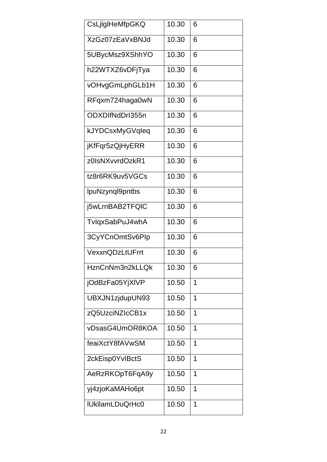| CsLjlgIHeMfpGKQ        | 10.30 | 6              |
|------------------------|-------|----------------|
| XzGz07zEaVxBNJd        | 10.30 | 6              |
| 5UBycMsz9XShhYO        | 10.30 | 6              |
| h22WTXZ6vDFjTya        | 10.30 | 6              |
| vOHvgGmLphGLb1H        | 10.30 | 6              |
| RFqxm724haga0wN        | 10.30 | 6              |
| ODXDIfNdDrI355n        | 10.30 | 6              |
| kJYDCsxMyGVqleq        | 10.30 | 6              |
| jKfFqr5zQjHyERR        | 10.30 | 6              |
| z0IsNXvvrdOzkR1        | 10.30 | 6              |
| tz8r6RK9uv5VGCs        | 10.30 | 6              |
| IpuNzynql9pntbs        | 10.30 | 6              |
| j5wLrnBAB2TFQIC        | 10.30 | 6              |
| TvlqxSabPuJ4whA        | 10.30 | 6              |
| 3CyYCnOmtSv6Plp        | 10.30 | 6              |
| VexxnQDzLtUFrrt        | 10.30 | 6              |
| HznCnNm3n2kLLQk        | 10.30 | 6              |
| jOdBzFa05YjXIVP        | 10.50 | $\overline{1}$ |
| UBXJN1zjdupUN93        | 10.50 | 1              |
| zQ5UzciNZIcCB1x        | 10.50 | 1              |
| vDsasG4UmOR8KOA        | 10.50 | 1              |
| feaiXctY8fAVwSM        | 10.50 | 1              |
| 2ckEisp0YvIBctS        | 10.50 | 1              |
| AeRzRKOpT6FqA9y        | 10.50 | 1              |
| yj4zjoKaMAHo6pt        | 10.50 | 1              |
| <b>IUkllamLDuQrHc0</b> | 10.50 | 1              |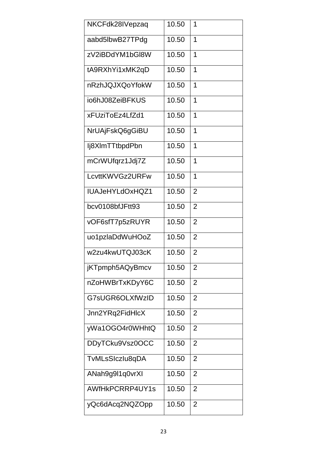| NKCFdk28IVepzaq | 10.50 | 1              |
|-----------------|-------|----------------|
| aabd5lbwB27TPdg | 10.50 | 1              |
| zV2iBDdYM1bGl8W | 10.50 | 1              |
| tA9RXhYi1xMK2qD | 10.50 | 1              |
| nRzhJQJXQoYfokW | 10.50 | 1              |
| io6hJ08ZeiBFKUS | 10.50 | 1              |
| xFUziToEz4LfZd1 | 10.50 | 1              |
| NrUAjFskQ6gGiBU | 10.50 | 1              |
| lj8XlmTTtbpdPbn | 10.50 | 1              |
| mCrWUfqrz1Jdj7Z | 10.50 | 1              |
| LcvttKWVGz2URFw | 10.50 | 1              |
| IUAJeHYLdOxHQZ1 | 10.50 | $\overline{2}$ |
| bcv0108bfJFtt93 | 10.50 | $\overline{2}$ |
| vOF6sfT7p5zRUYR | 10.50 | $\overline{2}$ |
| uo1pzlaDdWuHOoZ | 10.50 | $\overline{2}$ |
| w2zu4kwUTQJ03cK | 10.50 | $\overline{2}$ |
| jKTpmph5AQyBmcv | 10.50 | 2              |
| nZoHWBrTxKDyY6C | 10.50 | $\overline{2}$ |
| G7sUGR6OLXfWzID | 10.50 | $\overline{2}$ |
| Jnn2YRq2FidHlcX | 10.50 | $\overline{2}$ |
| yWa1OGO4r0WHhtQ | 10.50 | $\overline{2}$ |
| DDyTCku9Vsz0OCC | 10.50 | 2              |
| TvMLsSIczlu8qDA | 10.50 | 2              |
| ANah9g9l1q0vrXI | 10.50 | $\overline{2}$ |
| AWfHkPCRRP4UY1s | 10.50 | 2              |
| yQc6dAcq2NQZOpp | 10.50 | $\overline{2}$ |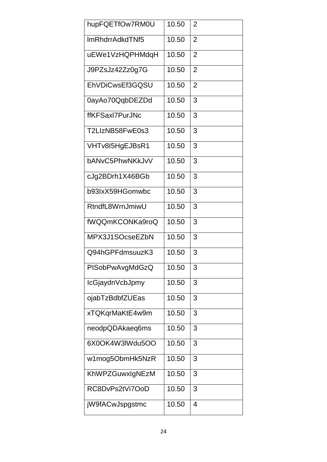| hupFQETfOw7RM0U | 10.50 | 2              |
|-----------------|-------|----------------|
| ImRhdrrAdkdTNf5 | 10.50 | $\overline{2}$ |
| uEWe1VzHQPHMdqH | 10.50 | $\overline{2}$ |
| J9PZsJz42Zz0g7G | 10.50 | $\overline{2}$ |
| EhVDiCwsEf3GQSU | 10.50 | 2              |
| 0ayAo70QqbDEZDd | 10.50 | 3              |
| ffKFSaxI7PurJNc | 10.50 | 3              |
| T2LIzNB58FwE0s3 | 10.50 | 3              |
| VHTv8I5HgEJBsR1 | 10.50 | 3              |
| bANvC5PhwNKkJvV | 10.50 | 3              |
| cJg2BDrh1X46BGb | 10.50 | 3              |
| b93lxX59HGomwbc | 10.50 | 3              |
| RtndfL8WrnJmiwU | 10.50 | 3              |
| fWQQmKCONKa9roQ | 10.50 | 3              |
| MPX3J1SOcseEZbN | 10.50 | 3              |
| Q94hGPFdmsuuzK3 | 10.50 | 3              |
| PISobPwAvgMdGzQ | 10.50 | 3              |
| IcGjaydnVcbJpmy | 10.50 | 3              |
| ojabTzBdbfZUEas | 10.50 | 3              |
| xTQKqrMaKtE4w9m | 10.50 | 3              |
| neodpQDAkaeq6ms | 10.50 | 3              |
| 6X0OK4W3lWdu5OO | 10.50 | 3              |
| w1mog5ObmHk5NzR | 10.50 | 3              |
| KhWPZGuwxIgNEzM | 10.50 | 3              |
| RC8DvPs2tVi7OoD | 10.50 | 3              |
| jW9fACwJspgstmc | 10.50 | 4              |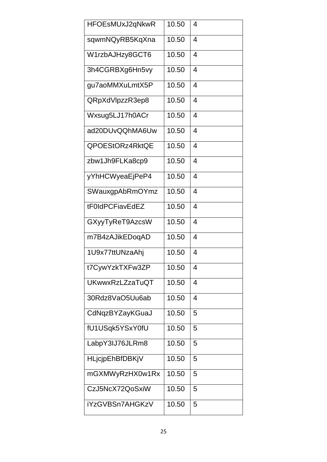| HFOEsMUxJ2qNkwR | 10.50 | 4              |
|-----------------|-------|----------------|
| sqwmNQyRB5KqXna | 10.50 | 4              |
| W1rzbAJHzy8GCT6 | 10.50 | 4              |
| 3h4CGRBXg6Hn5vy | 10.50 | 4              |
| gu7aoMMXuLmtX5P | 10.50 | 4              |
| QRpXdVlpzzR3ep8 | 10.50 | 4              |
| Wxsug5LJ17h0ACr | 10.50 | 4              |
| ad20DUvQQhMA6Uw | 10.50 | 4              |
| QPOEStORz4RktQE | 10.50 | $\overline{4}$ |
| zbw1Jh9FLKa8cp9 | 10.50 | 4              |
| yYhHCWyeaEjPeP4 | 10.50 | 4              |
| SWauxgpAbRmOYmz | 10.50 | 4              |
| tF0IdPCFiavEdEZ | 10.50 | 4              |
| GXyyTyReT9AzcsW | 10.50 | 4              |
| m7B4zAJikEDoqAD | 10.50 | 4              |
| 1U9x77ttUNzaAhj | 10.50 | 4              |
| t7CywYzkTXFw3ZP | 10.50 | 4              |
| UKwwxRzLZzaTuQT | 10.50 | 4              |
| 30Rdz8VaO5Uu6ab | 10.50 | 4              |
| CdNqzBYZayKGuaJ | 10.50 | 5              |
| fU1USqk5YSxY0fU | 10.50 | 5              |
| LabpY3IJ76JLRm8 | 10.50 | 5              |
| HLjcjpEhBfDBKjV | 10.50 | 5              |
| mGXMWyRzHX0w1Rx | 10.50 | 5              |
| CzJ5NcX72QoSxiW | 10.50 | 5              |
| iYzGVBSn7AHGKzV | 10.50 | 5              |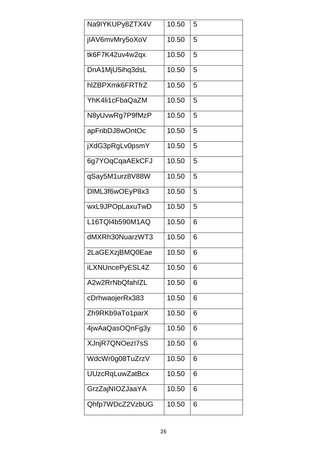| Na9IYKUPy8ZTX4V        | 10.50 | 5 |
|------------------------|-------|---|
| jIAV6mvMry5oXoV        | 10.50 | 5 |
| tk6F7K42uv4w2qx        | 10.50 | 5 |
| DnA1MjU5ihq3dsL        | 10.50 | 5 |
| hIZBPXmk6FRTfrZ        | 10.50 | 5 |
| YhK4li1cFbaQaZM        | 10.50 | 5 |
| N8yUvwRg7P9fMzP        | 10.50 | 5 |
| apFribDJ8wOntOc        | 10.50 | 5 |
| jXdG3pRgLv0psmY        | 10.50 | 5 |
| 6g7YOqCqaAEkCFJ        | 10.50 | 5 |
| qSay5M1urz8V88W        | 10.50 | 5 |
| DIML3f6wOEyP8x3        | 10.50 | 5 |
| wxL9JPOpLaxuTwD        | 10.50 | 5 |
| L16TQI4b590M1AQ        | 10.50 | 6 |
| dMXRh30NuarzWT3        | 10.50 | 6 |
| 2LaGEXzjBMQ0Eae        | 10.50 | 6 |
| iLXNUncePyESL4Z        | 10.50 | 6 |
| A2w2RrNbQfahlZL        | 10.50 | 6 |
| cDrhwaojerRx383        | 10.50 | 6 |
| Zh9RKb9aTo1parX        | 10.50 | 6 |
| 4jwAaQasOQnFg3y        | 10.50 | 6 |
| XJnjR7QNOezI7sS        | 10.50 | 6 |
| WdcWr0g08TuZrzV        | 10.50 | 6 |
| <b>UUzcRqLuwZatBcx</b> | 10.50 | 6 |
| GrzZajNIOZJaaYA        | 10.50 | 6 |
| Qhfp7WDcZ2VzbUG        | 10.50 | 6 |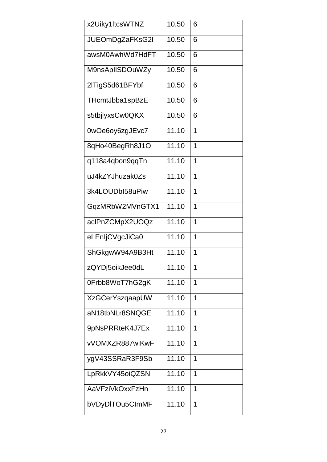| x2Uiky1ItcsWTNZ        | 10.50 | 6              |
|------------------------|-------|----------------|
| JUEOmDgZaFKsG2I        | 10.50 | 6              |
| awsM0AwhWd7HdFT        | 10.50 | 6              |
| M9nsApIISDOuWZy        | 10.50 | 6              |
| 2lTigS5d61BFYbf        | 10.50 | 6              |
| THcmtJbba1spBzE        | 10.50 | 6              |
| s5tbjlyxsCw0QKX        | 10.50 | 6              |
| 0wOe6oy6zgJEvc7        | 11.10 | 1              |
| 8qHo40BegRh8J1O        | 11.10 | $\overline{1}$ |
| q118a4qbon9qqTn        | 11.10 | 1              |
| uJ4kZYJhuzak0Zs        | 11.10 | $\overline{1}$ |
| 3k4LOUDbI58uPiw        | 11.10 | 1              |
| GqzMRbW2MVnGTX1        | 11.10 | 1              |
| aclPnZCMpX2UOQz        | 11.10 | 1              |
| eLEnljCVgcJiCa0        | 11.10 | 1              |
| ShGkgwW94A9B3Ht        | 11.10 | 1              |
| zQYDj5oikJee0dL        | 11.10 | 1              |
| 0Frbb8WoT7hG2gK        | 11.10 | 1              |
| <b>XzGCerYszqaapUW</b> | 11.10 | 1              |
| aN18tbNLr8SNQGE        | 11.10 | 1              |
| 9pNsPRRteK4J7Ex        | 11.10 | 1              |
| vVOMXZR887wiKwF        | 11.10 | $\overline{1}$ |
| ygV43SSRaR3F9Sb        | 11.10 | 1              |
| LpRkkVY45oiQZSN        | 11.10 | $\overline{1}$ |
| AaVFziVkOxxFzHn        | 11.10 | 1              |
| bVDyDITOu5CImMF        | 11.10 | $\overline{1}$ |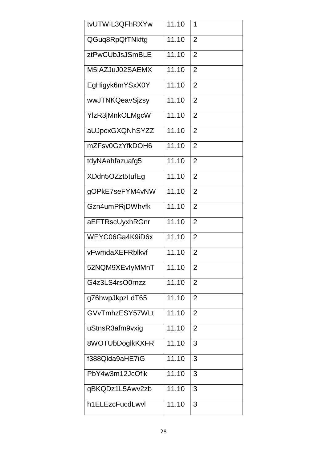| tvUTWIL3QFhRXYw | 11.10 | 1              |
|-----------------|-------|----------------|
| QGuq8RpQfTNkftg | 11.10 | 2              |
| ztPwCUbJsJSmBLE | 11.10 | $\overline{2}$ |
| M5IAZJuJ02SAEMX | 11.10 | $\overline{2}$ |
| EgHigyk6mYSxX0Y | 11.10 | $\overline{2}$ |
| wwJTNKQeavSjzsy | 11.10 | $\overline{2}$ |
| YIzR3jMnkOLMgcW | 11.10 | $\overline{2}$ |
| aUJpcxGXQNhSYZZ | 11.10 | $\overline{2}$ |
| mZFsv0GzYfkDOH6 | 11.10 | $\overline{2}$ |
| tdyNAahfazuafg5 | 11.10 | $\overline{2}$ |
| XDdn5OZzt5tufEg | 11.10 | $\overline{2}$ |
| gOPkE7seFYM4vNW | 11.10 | $\overline{2}$ |
| Gzn4umPRjDWhvfk | 11.10 | 2              |
| aEFTRscUyxhRGnr | 11.10 | 2              |
| WEYC06Ga4K9iD6x | 11.10 | 2              |
| vFwmdaXEFRblkvf | 11.10 | $\overline{2}$ |
| 52NQM9XEvlyMMnT | 11.10 | 2              |
| G4z3LS4rsO0rnzz | 11.10 | 2              |
| g76hwpJkpzLdT65 | 11.10 | 2              |
| GVvTmhzESY57WLt | 11.10 | $\overline{2}$ |
| uStnsR3afm9vxig | 11.10 | $\overline{2}$ |
| 8WOTUbDoglkKXFR | 11.10 | 3              |
| f388Qlda9aHE7iG | 11.10 | 3              |
| PbY4w3m12JcOfik | 11.10 | 3              |
| qBKQDz1L5Awv2zb | 11.10 | 3              |
| h1ELEzcFucdLwvl | 11.10 | 3              |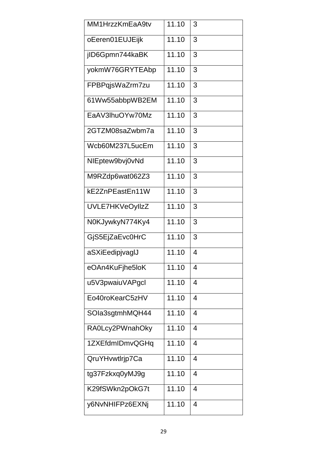| MM1HrzzKmEaA9tv | 11.10 | 3              |
|-----------------|-------|----------------|
| oEeren01EUJEijk | 11.10 | 3              |
| jID6Gpmn744kaBK | 11.10 | 3              |
| yokmW76GRYTEAbp | 11.10 | 3              |
| FPBPqjsWaZrm7zu | 11.10 | 3              |
| 61Ww55abbpWB2EM | 11.10 | 3              |
| EaAV3lhuOYw70Mz | 11.10 | 3              |
| 2GTZM08saZwbm7a | 11.10 | 3              |
| Wcb60M237L5ucEm | 11.10 | 3              |
| NIEptew9bvj0vNd | 11.10 | 3              |
| M9RZdp6wat062Z3 | 11.10 | 3              |
| kE2ZnPEastEn11W | 11.10 | 3              |
| UVLE7HKVeOyllzZ | 11.10 | 3              |
| N0KJywkyN774Ky4 | 11.10 | 3              |
| GjS5EjZaEvc0HrC | 11.10 | 3              |
| aSXiEedipjvagIJ | 11.10 | 4              |
| eOAn4KuFjhe5loK | 11.10 | 4              |
| u5V3pwaiuVAPgcl | 11.10 | 4              |
| Eo40roKearC5zHV | 11.10 | 4              |
| SOIa3sgtmhMQH44 | 11.10 | 4              |
| RA0Lcy2PWnahOky | 11.10 | 4              |
| 1ZXEfdmIDmvQGHq | 11.10 | 4              |
| QruYHvwtlrjp7Ca | 11.10 | 4              |
| tg37Fzkxq0yMJ9g | 11.10 | 4              |
| K29fSWkn2pOkG7t | 11.10 | 4              |
| y6NvNHIFPz6EXNj | 11.10 | $\overline{4}$ |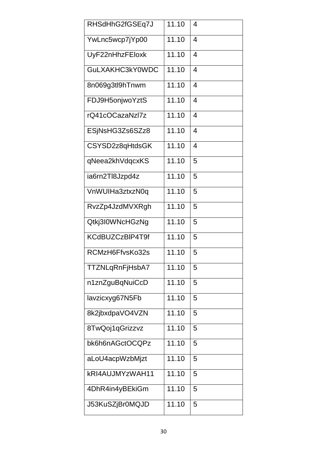| RHSdHhG2fGSEq7J | 11.10 | 4 |
|-----------------|-------|---|
| YwLnc5wcp7jYp00 | 11.10 | 4 |
| UyF22nHhzFEloxk | 11.10 | 4 |
| GuLXAKHC3kY0WDC | 11.10 | 4 |
| 8n069g3tl9hTnwm | 11.10 | 4 |
| FDJ9H5onjwoYztS | 11.10 | 4 |
| rQ41cOCazaNzl7z | 11.10 | 4 |
| ESjNsHG3Zs6SZz8 | 11.10 | 4 |
| CSYSD2z8qHtdsGK | 11.10 | 4 |
| qNeea2khVdqcxKS | 11.10 | 5 |
| ia6rn2Tl8Jzpd4z | 11.10 | 5 |
| VnWUIHa3ztxzN0q | 11.10 | 5 |
| RvzZp4JzdMVXRgh | 11.10 | 5 |
| Qtkj3I0WNcHGzNg | 11.10 | 5 |
| KCdBUZCzBIP4T9f | 11.10 | 5 |
| RCMzH6FfvsKo32s | 11.10 | 5 |
| TTZNLqRnFjHsbA7 | 11.10 | 5 |
| n1znZguBqNuiCcD | 11.10 | 5 |
| lavzicxyg67N5Fb | 11.10 | 5 |
| 8k2jbxdpaVO4VZN | 11.10 | 5 |
| 8TwQoj1qGrizzvz | 11.10 | 5 |
| bk6h6nAGctOCQPz | 11.10 | 5 |
| aLoU4acpWzbMjzt | 11.10 | 5 |
| kRI4AUJMYzWAH11 | 11.10 | 5 |
| 4DhR4in4yBEkiGm | 11.10 | 5 |
| J53KuSZjBr0MQJD | 11.10 | 5 |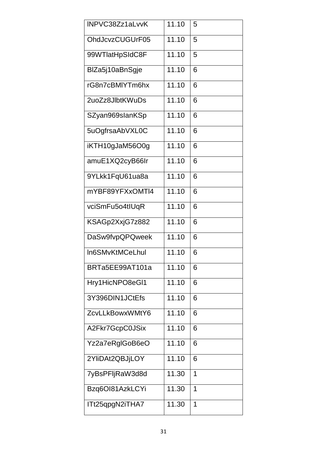| INPVC38Zz1aLvvK | 11.10 | 5 |
|-----------------|-------|---|
| OhdJcvzCUGUrF05 | 11.10 | 5 |
| 99WTlatHpSIdC8F | 11.10 | 5 |
| BIZa5j10aBnSgje | 11.10 | 6 |
| rG8n7cBMIYTm6hx | 11.10 | 6 |
| 2uoZz8JlbtKWuDs | 11.10 | 6 |
| SZyan969slanKSp | 11.10 | 6 |
| 5uOgfrsaAbVXL0C | 11.10 | 6 |
| iKTH10gJaM56O0g | 11.10 | 6 |
| amuE1XQ2cyB66Ir | 11.10 | 6 |
| 9YLkk1FqU61ua8a | 11.10 | 6 |
| mYBF89YFXxOMTI4 | 11.10 | 6 |
| vciSmFu5o4tIUqR | 11.10 | 6 |
| KSAGp2XxjG7z882 | 11.10 | 6 |
| DaSw9fvpQPQweek | 11.10 | 6 |
| In6SMvKtMCeLhul | 11.10 | 6 |
| BRTa5EE99AT101a | 11.10 | 6 |
| Hry1HicNPO8eGI1 | 11.10 | 6 |
| 3Y396DIN1JCtEfs | 11.10 | 6 |
| ZcvLLkBowxWMtY6 | 11.10 | 6 |
| A2Fkr7GcpC0JSix | 11.10 | 6 |
| Yz2a7eRglGoB6eO | 11.10 | 6 |
| 2YliDAt2QBJjLOY | 11.10 | 6 |
| 7yBsPFljRaW3d8d | 11.30 | 1 |
| Bzq6Ol81AzkLCYi | 11.30 | 1 |
| ITt25qpgN2iTHA7 | 11.30 | 1 |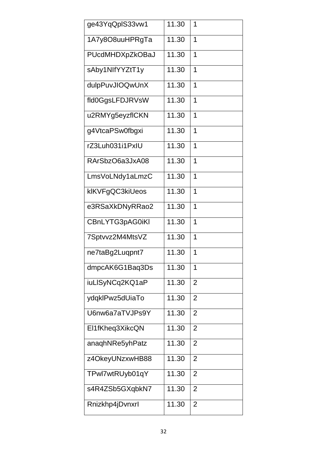| ge43YqQplS33vw1 | 11.30 | 1              |
|-----------------|-------|----------------|
| 1A7y8O8uuHPRgTa | 11.30 | 1              |
| PUcdMHDXpZkOBaJ | 11.30 | 1              |
| sAby1NIfYYZtT1y | 11.30 | 1              |
| dulpPuvJIOQwUnX | 11.30 | 1              |
| fld0GgsLFDJRVsW | 11.30 | 1              |
| u2RMYg5eyzflCKN | 11.30 | 1              |
| g4VtcaPSw0fbgxi | 11.30 | 1              |
| rZ3Luh031i1PxIU | 11.30 | 1              |
| RArSbzO6a3JxA08 | 11.30 | 1              |
| LmsVoLNdy1aLmzC | 11.30 | 1              |
| klKVFgQC3kiUeos | 11.30 | 1              |
| e3RSaXkDNyRRao2 | 11.30 | 1              |
| CBnLYTG3pAG0iKI | 11.30 | 1              |
| 7Sptvvz2M4MtsVZ | 11.30 | 1              |
| ne7taBg2Luqpnt7 | 11.30 | $\overline{1}$ |
| dmpcAK6G1Baq3Ds | 11.30 | 1              |
| iuLISyNCq2KQ1aP | 11.30 | $\overline{2}$ |
| ydqklPwz5dUiaTo | 11.30 | $\overline{2}$ |
| U6nw6a7aTVJPs9Y | 11.30 | 2              |
| El1fKheq3XikcQN | 11.30 | 2              |
| anaqhNRe5yhPatz | 11.30 | 2              |
| z4OkeyUNzxwHB88 | 11.30 | 2              |
| TPwl7wtRUyb01qY | 11.30 | $\overline{2}$ |
| s4R4ZSb5GXqbkN7 | 11.30 | 2              |
| Rnizkhp4jDvnxrl | 11.30 | 2              |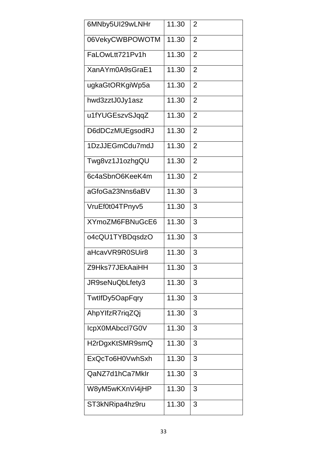| 6MNby5UI29wLNHr | 11.30              | 2              |
|-----------------|--------------------|----------------|
| 06VekyCWBPOWOTM | 11.30              | 2              |
| FaLOwLtt721Pv1h | 11.30              | $\overline{2}$ |
| XanAYm0A9sGraE1 | 11.30              | $\overline{2}$ |
| ugkaGtORKgiWp5a | 11.30              | $\overline{2}$ |
| hwd3zztJ0Jy1asz | 11.30              | $\overline{2}$ |
| u1fYUGEszvSJqqZ | 11.30              | $\overline{2}$ |
| D6dDCzMUEgsodRJ | 11.30              | $\overline{2}$ |
| 1DzJJEGmCdu7mdJ | 11.30              | $\overline{2}$ |
| Twg8vz1J1ozhgQU | 11.30              | $\overline{2}$ |
| 6c4aSbnO6KeeK4m | $\overline{11.30}$ | $\overline{2}$ |
| aGfoGa23Nns6aBV | 11.30              | 3              |
| VruEf0t04TPnyv5 | 11.30              | 3              |
| XYmoZM6FBNuGcE6 | 11.30              | 3              |
| o4cQU1TYBDqsdzO | 11.30              | 3              |
| aHcavVR9R0SUir8 | 11.30              | 3              |
| Z9Hks77JEkAaiHH | 11.30              | 3              |
| JR9seNuQbLfety3 | 11.30              | 3              |
| TwtlfDy5OapFqry | 11.30              | 3              |
| AhpYlfzR7riqZQj | 11.30              | 3              |
| IcpX0MAbccl7G0V | 11.30              | 3              |
| H2rDgxKtSMR9smQ | 11.30              | 3              |
| ExQcTo6H0VwhSxh | 11.30              | 3              |
| QaNZ7d1hCa7Mklr | 11.30              | 3              |
| W8yM5wKXnVi4jHP | 11.30              | 3              |
| ST3kNRipa4hz9ru | 11.30              | 3              |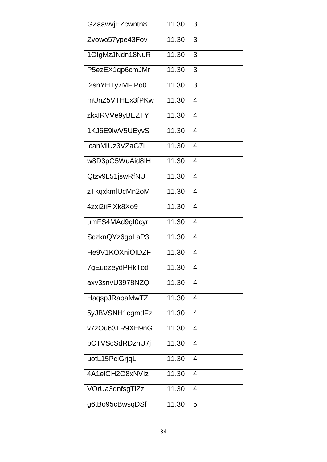| GZaawvjEZcwntn8 | 11.30 | 3              |
|-----------------|-------|----------------|
| Zvowo57ype43Fov | 11.30 | 3              |
| 1OlgMzJNdn18NuR | 11.30 | 3              |
| P5ezEX1qp6cmJMr | 11.30 | 3              |
| i2snYHTy7MFiPo0 | 11.30 | 3              |
| mUnZ5VTHEx3fPKw | 11.30 | 4              |
| zkxlRVVe9yBEZTY | 11.30 | 4              |
| 1KJ6E9lwV5UEyvS | 11.30 | 4              |
| IcanMIUz3VZaG7L | 11.30 | $\overline{4}$ |
| w8D3pG5WuAid8IH | 11.30 | 4              |
| Qtzv9L51jswRfNU | 11.30 | 4              |
| zTkqxkmlUcMn2oM | 11.30 | 4              |
| 4zxi2iiFIXk8Xo9 | 11.30 | 4              |
| umFS4MAd9gl0cyr | 11.30 | 4              |
| SczknQYz6gpLaP3 | 11.30 | 4              |
| He9V1KOXniOIDZF | 11.30 | 4              |
| 7gEuqzeydPHkTod | 11.30 | 4              |
| axv3snvU3978NZQ | 11.30 | 4              |
| HaqspJRaoaMwTZI | 11.30 | 4              |
| 5yJBVSNH1cgmdFz | 11.30 | 4              |
| v7zOu63TR9XH9nG | 11.30 | 4              |
| bCTVScSdRDzhU7j | 11.30 | 4              |
| uotL15PciGrjqLl | 11.30 | 4              |
| 4A1elGH2O8xNVIz | 11.30 | 4              |
| VOrUa3qnfsgTlZz | 11.30 | 4              |
| g6tBo95cBwsqDSf | 11.30 | 5              |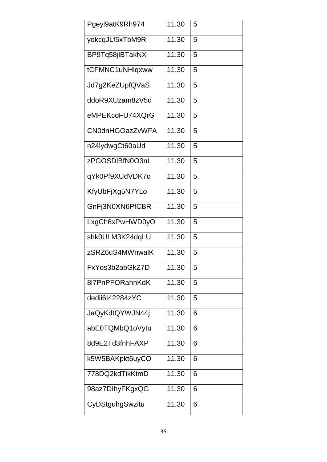| Pgeyi9atK9Rh974        | 11.30 | 5 |
|------------------------|-------|---|
| yokcqJLf5xTbM9R        | 11.30 | 5 |
| BP9Tq58jlBTakNX        | 11.30 | 5 |
| tCFMNC1uNHlqxww        | 11.30 | 5 |
| Jd7g2KeZUpfQVaS        | 11.30 | 5 |
| ddoR9XUzam8zV5d        | 11.30 | 5 |
| eMPEKcoFU74XQrG        | 11.30 | 5 |
| <b>CN0dnHGOazZvWFA</b> | 11.30 | 5 |
| n24lydwgCt60aUd        | 11.30 | 5 |
| zPGOSDIBfN0O3nL        | 11.30 | 5 |
| qYk0Pf9XUdVDK7o        | 11.30 | 5 |
| KfyUbFjXg5N7YLo        | 11.30 | 5 |
| GnFj3N0XN6PfCBR        | 11.30 | 5 |
| LxgCh6xPwHWD0yO        | 11.30 | 5 |
| shk0ULM3K24dqLU        | 11.30 | 5 |
| zSRZ6uS4MWnwalK        | 11.30 | 5 |
| FxYos3b2abGkZ7D        | 11.30 | 5 |
| 8l7PnPFORahnKdK        | 11.30 | 5 |
| dedii6I42284zYC        | 11.30 | 5 |
| JaQyKdtQYWJN44j        | 11.30 | 6 |
| abE0TQMbQ1oVytu        | 11.30 | 6 |
| 8d9E2Td3fnhFAXP        | 11.30 | 6 |
| k5W5BAKpkt6uyCO        | 11.30 | 6 |
| 778DQ2kdTikKtmD        | 11.30 | 6 |
| 98az7DlhyFKgxQG        | 11.30 | 6 |
| CyDStguhgSwzitu        | 11.30 | 6 |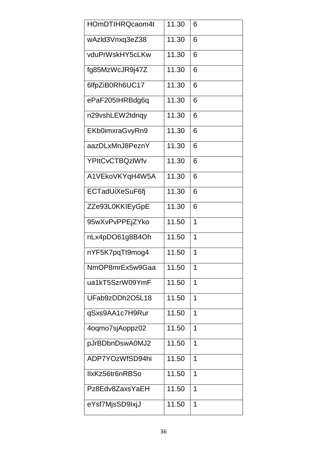| HOmDTIHRQcaom4t        | 11.30 | 6              |
|------------------------|-------|----------------|
| wAzld3Vnxq3eZ38        | 11.30 | 6              |
| vduPrWskHY5cLKw        | 11.30 | 6              |
| fg85MzWcJR9j47Z        | 11.30 | 6              |
| 6lfpZiB0Rh6UC17        | 11.30 | 6              |
| ePaF205IHRBdg6q        | 11.30 | 6              |
| n29vshLEW2tdnqy        | 11.30 | 6              |
| EKb0imxraGvyRn9        | 11.30 | 6              |
| aazDLxMnJ8PeznY        | 11.30 | 6              |
| <b>YPItCvCTBQzIWfv</b> | 11.30 | 6              |
| A1VEkoVKYqH4W5A        | 11.30 | 6              |
| ECTadUiXeSuF6fj        | 11.30 | 6              |
| ZZe93L0KKIEyGpE        | 11.30 | 6              |
| 95wXvPvPPEjZYko        | 11.50 | 1              |
| nLx4pDO61g8B4Oh        | 11.50 | 1              |
| nYF5K7pqTt9mog4        | 11.50 | 1              |
| NmOP8mrEx5w9Gaa        | 11.50 | 1              |
| ua1kT5SzrW09YmF        | 11.50 | $\overline{1}$ |
| UFab9zDDh2O5L18        | 11.50 | 1              |
| qSxs9AA1c7H9Rur        | 11.50 | 1              |
| 4oqmo7sjAoppz02        | 11.50 | 1              |
| pJrBDbnDswA0MJ2        | 11.50 | 1              |
| ADP7YOzWfSD94hi        | 11.50 | 1              |
| IlxKz56tr6nRBSo        | 11.50 | 1              |
| Pz8Edv8ZaxsYaEH        | 11.50 | 1              |
| eYsf7MjsSD9lxjJ        | 11.50 | 1              |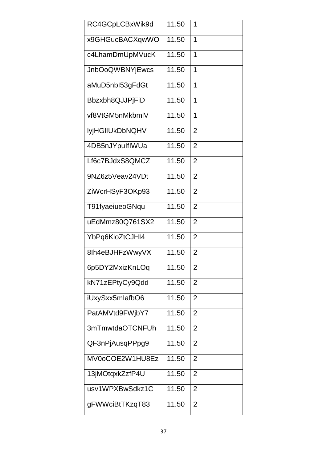| RC4GCpLCBxWik9d        | 11.50 | 1              |
|------------------------|-------|----------------|
| x9GHGucBACXqwWO        | 11.50 | 1              |
| c4LhamDmUpMVucK        | 11.50 | 1              |
| <b>JnbOoQWBNYjEwcs</b> | 11.50 | 1              |
| aMuD5nbl53gFdGt        | 11.50 | 1              |
| Bbzxbh8QJJPjFiD        | 11.50 | 1              |
| vf8VtGM5nMkbmlV        | 11.50 | 1              |
| <b>lyjHGIIUkDbNQHV</b> | 11.50 | $\overline{2}$ |
| 4DB5nJYpulflWUa        | 11.50 | $\overline{2}$ |
| Lf6c7BJdxS8QMCZ        | 11.50 | $\overline{2}$ |
| 9NZ6z5Veav24VDt        | 11.50 | $\overline{2}$ |
| ZiWcrHSyF3OKp93        | 11.50 | $\overline{2}$ |
| T91fyaeiueoGNqu        | 11.50 | $\overline{2}$ |
| uEdMmz80Q761SX2        | 11.50 | $\overline{2}$ |
| YbPq6KloZtCJHI4        | 11.50 | $\overline{2}$ |
| 8lh4eBJHFzWwyVX        | 11.50 | $\overline{2}$ |
| 6p5DY2MxizKnLOq        | 11.50 | 2              |
| kN71zEPtyCy9Qdd        | 11.50 | $\overline{2}$ |
| iUxySxx5mlafbO6        | 11.50 | $\overline{2}$ |
| PatAMVtd9FWjbY7        | 11.50 | 2              |
| 3mTmwtdaOTCNFUh        | 11.50 | $\overline{2}$ |
| QF3nPjAusqPPpg9        | 11.50 | 2              |
| MV0oCOE2W1HU8Ez        | 11.50 | 2              |
| 13jMOtqxkZzfP4U        | 11.50 | $\overline{2}$ |
| usv1WPXBwSdkz1C        | 11.50 | 2              |
| gFWWciBtTKzqT83        | 11.50 | 2              |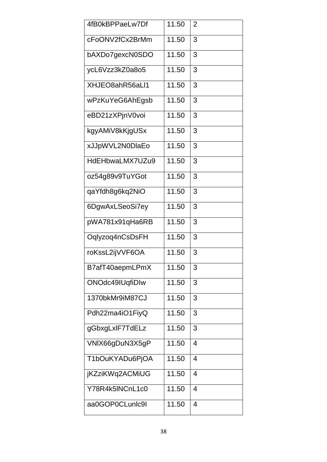| 4fB0kBPPaeLw7Df | 11.50 | $\overline{2}$ |
|-----------------|-------|----------------|
| cFoONV2fCx2BrMm | 11.50 | 3              |
| bAXDo7gexcN0SDO | 11.50 | 3              |
| ycL6Vzz3kZ0a8o5 | 11.50 | 3              |
| XHJEO8ahR56aLl1 | 11.50 | 3              |
| wPzKuYeG6AhEgsb | 11.50 | 3              |
| eBD21zXPjnV0voi | 11.50 | 3              |
| kgyAMiV8kKjgUSx | 11.50 | 3              |
| xJJpWVL2N0DlaEo | 11.50 | 3              |
| HdEHbwaLMX7UZu9 | 11.50 | 3              |
| oz54g89v9TuYGot | 11.50 | 3              |
| qaYfdh8g6kq2NiO | 11.50 | 3              |
| 6DgwAxLSeoSi7ey | 11.50 | 3              |
| pWA781x91qHa6RB | 11.50 | 3              |
| Oqlyzoq4nCsDsFH | 11.50 | 3              |
| roKssL2ijVVF6OA | 11.50 | 3              |
| B7afT40aepmLPmX | 11.50 | 3              |
| ONOdc49IUqfiDIw | 11.50 | 3              |
| 1370bkMr9iM87CJ | 11.50 | 3              |
| Pdh22ma4iO1FiyQ | 11.50 | 3              |
| gGbxgLxlF7TdELz | 11.50 | 3              |
| VNIX66gDuN3X5gP | 11.50 | 4              |
| T1bOuKYADu6PjOA | 11.50 | 4              |
| jKZziKWq2ACMiUG | 11.50 | 4              |
| Y78R4k5INCnL1c0 | 11.50 | 4              |
| aa0GOP0CLunlc9l | 11.50 | 4              |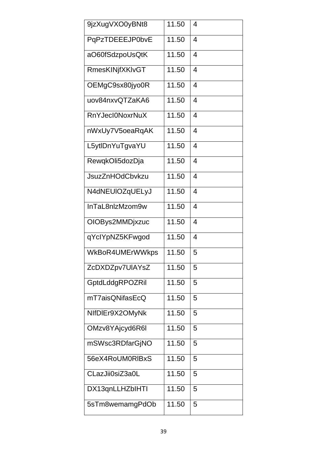| 9jzXugVXO0yBNt8        | 11.50 | 4              |
|------------------------|-------|----------------|
| PqPzTDEEEJP0bvE        | 11.50 | 4              |
| aO60fSdzpoUsQtK        | 11.50 | $\overline{4}$ |
| RmesKINjfXKIvGT        | 11.50 | 4              |
| OEMgC9sx80jyo0R        | 11.50 | 4              |
| uov84nxvQTZaKA6        | 11.50 | 4              |
| <b>RnYJecl0NoxrNuX</b> | 11.50 | 4              |
| nWxUy7V5oeaRqAK        | 11.50 | 4              |
| L5ytlDnYuTgvaYU        | 11.50 | 4              |
| RewqkOli5dozDja        | 11.50 | 4              |
| <b>JsuzZnHOdCbvkzu</b> | 11.50 | 4              |
| N4dNEUIOZqUELyJ        | 11.50 | 4              |
| InTaL8nlzMzom9w        | 11.50 | 4              |
| OIOBys2MMDjxzuc        | 11.50 | $\overline{4}$ |
| qYclYpNZ5KFwgod        | 11.50 | 4              |
| WkBoR4UMErWWkps        | 11.50 | 5              |
| ZcDXDZpv7UIAYsZ        | 11.50 | 5              |
| GptdLddgRPOZRil        | 11.50 | 5              |
| mT7aisQNifasEcQ        | 11.50 | 5              |
| NIfDIEr9X2OMyNk        | 11.50 | 5              |
| OMzv8YAjcyd6R6I        | 11.50 | 5              |
| mSWsc3RDfarGjNO        | 11.50 | 5              |
| 56eX4RoUM0RIBxS        | 11.50 | 5              |
| CLazJii0siZ3a0L        | 11.50 | 5              |
| DX13qnLLHZbIHTI        | 11.50 | 5              |
| 5sTm8wemamgPdOb        | 11.50 | 5              |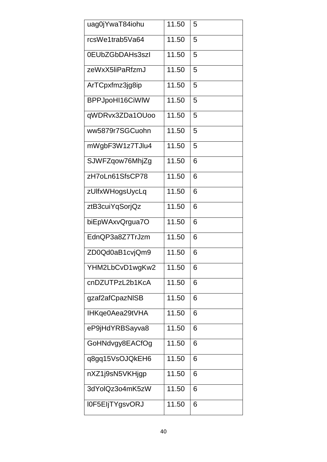| uag0jYwaT84iohu | 11.50 | 5 |
|-----------------|-------|---|
| rcsWe1trab5Va64 | 11.50 | 5 |
| 0EUbZGbDAHs3szl | 11.50 | 5 |
| zeWxX5liPaRfzmJ | 11.50 | 5 |
| ArTCpxfmz3jg8ip | 11.50 | 5 |
| BPPJpoHI16CiWIW | 11.50 | 5 |
| qWDRvx3ZDa1OUoo | 11.50 | 5 |
| ww5879r7SGCuohn | 11.50 | 5 |
| mWgbF3W1z7TJlu4 | 11.50 | 5 |
| SJWFZqow76MhjZg | 11.50 | 6 |
| zH7oLn61SfsCP78 | 11.50 | 6 |
| zUlfxWHogsUycLq | 11.50 | 6 |
| ztB3cuiYqSorjQz | 11.50 | 6 |
| biEpWAxvQrgua7O | 11.50 | 6 |
| EdnQP3a8Z7TrJzm | 11.50 | 6 |
| ZD0Qd0aB1cvjQm9 | 11.50 | 6 |
| YHM2LbCvD1wgKw2 | 11.50 | 6 |
| cnDZUTPzL2b1KcA | 11.50 | 6 |
| gzaf2afCpazNISB | 11.50 | 6 |
| IHKqe0Aea29tVHA | 11.50 | 6 |
| eP9jHdYRBSayva8 | 11.50 | 6 |
| GoHNdvgy8EACfOg | 11.50 | 6 |
| q8gq15VsOJQkEH6 | 11.50 | 6 |
| nXZ1j9sN5VKHjgp | 11.50 | 6 |
| 3dYolQz3o4mK5zW | 11.50 | 6 |
| I0F5EIjTYgsvORJ | 11.50 | 6 |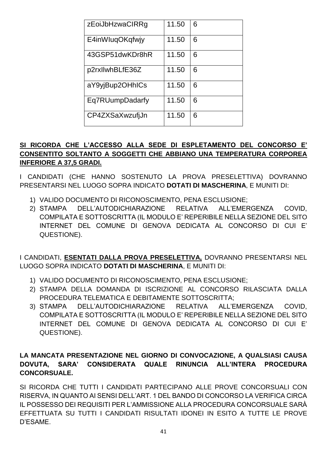| zEoiJbHzwaCIRRg | 11.50 | 6 |
|-----------------|-------|---|
| E4inWluqOKqfwjy | 11.50 | 6 |
| 43GSP51dwKDr8hR | 11.50 | 6 |
| p2rxllwhBLfE36Z | 11.50 | 6 |
| aY9yjBup2OHhICs | 11.50 | 6 |
| Eq7RUumpDadarfy | 11.50 | 6 |
| CP4ZXSaXwzufjJn | 11.50 | 6 |

## SI RICORDA CHE L'ACCESSO ALLA SEDE DI ESPLETAMENTO DEL CONCORSO E' CONSENTITO SOLTANTO A SOGGETTI CHE ABBIANO UNA TEMPERATURA CORPOREA **INFERIORE A 37,5 GRADI.**

I CANDIDATI (CHE HANNO SOSTENUTO LA PROVA PRESELETTIVA) DOVRANNO PRESENTARSI NEL LUOGO SOPRA INDICATO DOTATI DI MASCHERINA, E MUNITI DI:

- 1) VALIDO DOCUMENTO DI RICONOSCIMENTO, PENA ESCLUSIONE:
- DELL'AUTODICHIARAZIONE RELATIVA ALL'EMERGENZA 2) STAMPA COVID. COMPILATA E SOTTOSCRITTA (IL MODULO E' REPERIBILE NELLA SEZIONE DEL SITO INTERNET DEL COMUNE DI GENOVA DEDICATA AL CONCORSO DI CUI E' QUESTIONE).

I CANDIDATI, ESENTATI DALLA PROVA PRESELETTIVA, DOVRANNO PRESENTARSI NEL LUOGO SOPRA INDICATO DOTATI DI MASCHERINA, E MUNITI DI:

- 1) VALIDO DOCUMENTO DI RICONOSCIMENTO, PENA ESCLUSIONE;
- 2) STAMPA DELLA DOMANDA DI ISCRIZIONE AL CONCORSO RILASCIATA DALLA PROCEDURA TELEMATICA E DEBITAMENTE SOTTOSCRITTA;
- 3) STAMPA DELL'AUTODICHIARAZIONE RELATIVA ALL'EMERGENZA COVID, COMPILATA E SOTTOSCRITTA (IL MODULO E' REPERIBILE NELLA SEZIONE DEL SITO INTERNET DEL COMUNE DI GENOVA DEDICATA AL CONCORSO DI CUI E' QUESTIONE).

## LA MANCATA PRESENTAZIONE NEL GIORNO DI CONVOCAZIONE, A QUALSIASI CAUSA DOVUTA, SARA' CONSIDERATA QUALE RINUNCIA ALL'INTERA PROCEDURA **CONCORSUALE.**

SI RICORDA CHE TUTTI I CANDIDATI PARTECIPANO ALLE PROVE CONCORSUALI CON RISERVA, IN QUANTO AI SENSI DELL'ART. 1 DEL BANDO DI CONCORSO LA VERIFICA CIRCA IL POSSESSO DEI REQUISITI PER L'AMMISSIONE ALLA PROCEDURA CONCORSUALE SARÀ EFFETTUATA SU TUTTI I CANDIDATI RISULTATI IDONEI IN ESITO A TUTTE LE PROVE D'ESAME.